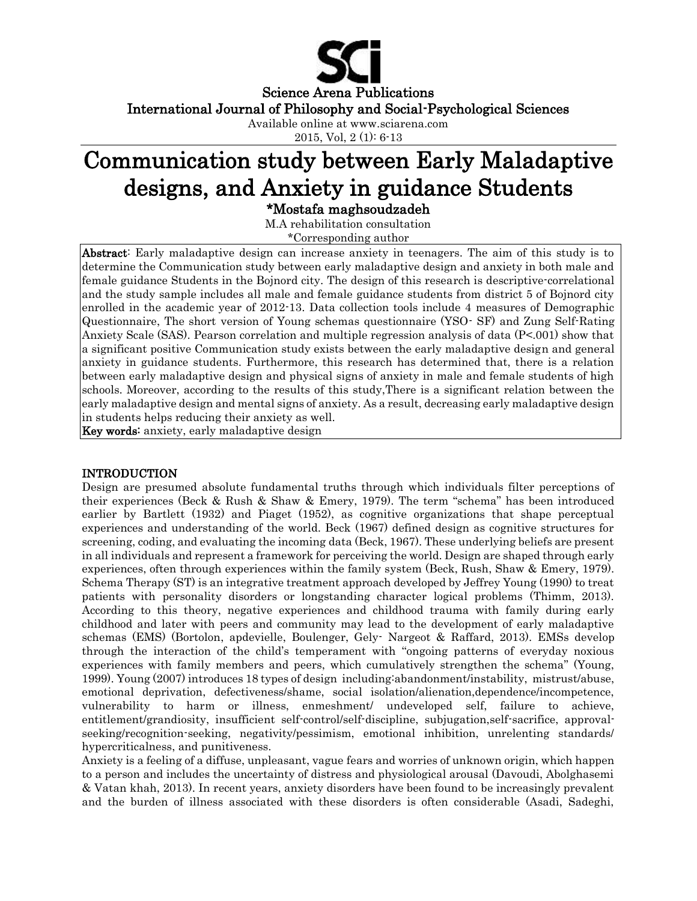

International Journal of Philosophy and Social-Psychological Sciences

Available online at www.sciarena.com

2015, Vol, 2 (1): 6-13

# Communication study between Early Maladaptive designs, and Anxiety in guidance Students

\*Mostafa maghsoudzadeh

M.A rehabilitation consultation

\*Corresponding author

Abstract: Early maladaptive design can increase anxiety in teenagers. The aim of this study is to determine the Communication study between early maladaptive design and anxiety in both male and female guidance Students in the Bojnord city. The design of this research is descriptive-correlational and the study sample includes all male and female guidance students from district 5 of Bojnord city enrolled in the academic year of 2012-13. Data collection tools include 4 measures of Demographic Questionnaire, The short version of Young schemas questionnaire (YSO- SF) and Zung Self-Rating Anxiety Scale (SAS). Pearson correlation and multiple regression analysis of data (P<.001) show that a significant positive Communication study exists between the early maladaptive design and general anxiety in guidance students. Furthermore, this research has determined that, there is a relation between early maladaptive design and physical signs of anxiety in male and female students of high schools. Moreover, according to the results of this study,There is a significant relation between the early maladaptive design and mental signs of anxiety. As a result, decreasing early maladaptive design in students helps reducing their anxiety as well.

Key words: anxiety, early maladaptive design

## INTRODUCTION

Design are presumed absolute fundamental truths through which individuals filter perceptions of their experiences (Beck & Rush & Shaw & Emery, 1979). The term "schema" has been introduced earlier by Bartlett (1932) and Piaget (1952), as cognitive organizations that shape perceptual experiences and understanding of the world. Beck (1967) defined design as cognitive structures for screening, coding, and evaluating the incoming data (Beck, 1967). These underlying beliefs are present in all individuals and represent a framework for perceiving the world. Design are shaped through early experiences, often through experiences within the family system (Beck, Rush, Shaw & Emery, 1979). Schema Therapy (ST) is an integrative treatment approach developed by Jeffrey Young (1990) to treat patients with personality disorders or longstanding character logical problems (Thimm, 2013). According to this theory, negative experiences and childhood trauma with family during early childhood and later with peers and community may lead to the development of early maladaptive schemas (EMS) (Bortolon, apdevielle, Boulenger, Gely- Nargeot & Raffard, 2013). EMSs develop through the interaction of the child's temperament with ''ongoing patterns of everyday noxious experiences with family members and peers, which cumulatively strengthen the schema'' (Young, 1999). Young (2007) introduces 18 types of design including:abandonment/instability, mistrust/abuse, emotional deprivation, defectiveness/shame, social isolation/alienation,dependence/incompetence, vulnerability to harm or illness, enmeshment/ undeveloped self, failure to achieve, entitlement/grandiosity, insufficient self-control/self-discipline, subjugation,self-sacrifice, approvalseeking/recognition-seeking, negativity/pessimism, emotional inhibition, unrelenting standards/ hypercriticalness, and punitiveness.

Anxiety is a feeling of a diffuse, unpleasant, vague fears and worries of unknown origin, which happen to a person and includes the uncertainty of distress and physiological arousal (Davoudi, Abolghasemi & Vatan khah, 2013). In recent years, anxiety disorders have been found to be increasingly prevalent and the burden of illness associated with these disorders is often considerable (Asadi, Sadeghi,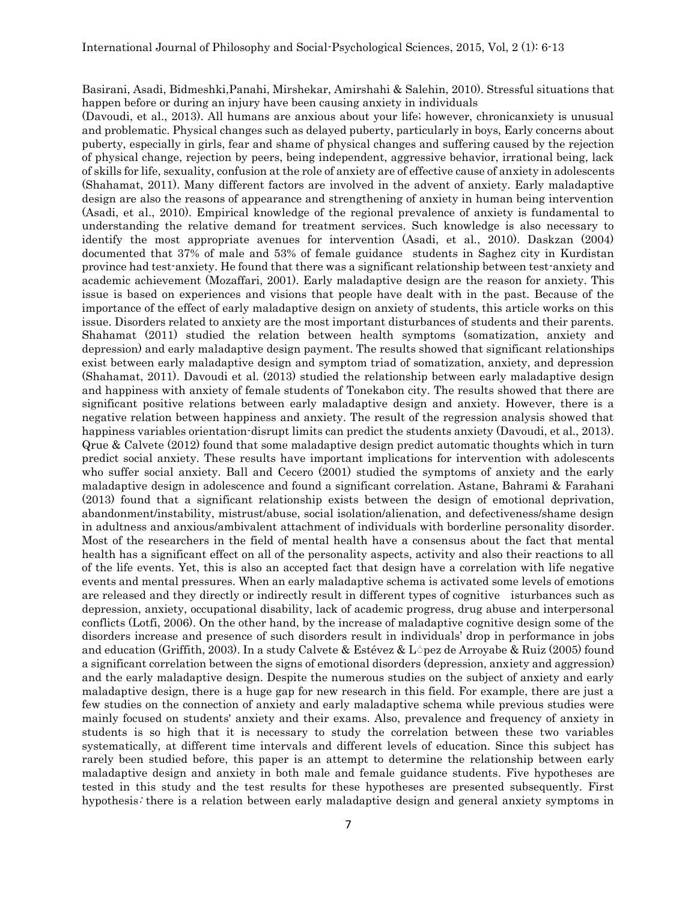Basirani, Asadi, Bidmeshki,Panahi, Mirshekar, Amirshahi & Salehin, 2010). Stressful situations that happen before or during an injury have been causing anxiety in individuals

(Davoudi, et al., 2013). All humans are anxious about your life; however, chronicanxiety is unusual and problematic. Physical changes such as delayed puberty, particularly in boys, Early concerns about puberty, especially in girls, fear and shame of physical changes and suffering caused by the rejection of physical change, rejection by peers, being independent, aggressive behavior, irrational being, lack of skills for life, sexuality, confusion at the role of anxiety are of effective cause of anxiety in adolescents (Shahamat, 2011). Many different factors are involved in the advent of anxiety. Early maladaptive design are also the reasons of appearance and strengthening of anxiety in human being intervention (Asadi, et al., 2010). Empirical knowledge of the regional prevalence of anxiety is fundamental to understanding the relative demand for treatment services. Such knowledge is also necessary to identify the most appropriate avenues for intervention (Asadi, et al., 2010). Daskzan (2004) documented that 37% of male and 53% of female guidance students in Saghez city in Kurdistan province had test-anxiety. He found that there was a significant relationship between test-anxiety and academic achievement (Mozaffari, 2001). Early maladaptive design are the reason for anxiety. This issue is based on experiences and visions that people have dealt with in the past. Because of the importance of the effect of early maladaptive design on anxiety of students, this article works on this issue. Disorders related to anxiety are the most important disturbances of students and their parents. Shahamat (2011) studied the relation between health symptoms (somatization, anxiety and depression) and early maladaptive design payment. The results showed that significant relationships exist between early maladaptive design and symptom triad of somatization, anxiety, and depression (Shahamat, 2011). Davoudi et al. (2013) studied the relationship between early maladaptive design and happiness with anxiety of female students of Tonekabon city. The results showed that there are significant positive relations between early maladaptive design and anxiety. However, there is a negative relation between happiness and anxiety. The result of the regression analysis showed that happiness variables orientation-disrupt limits can predict the students anxiety (Davoudi, et al., 2013). Qrue & Calvete (2012) found that some maladaptive design predict automatic thoughts which in turn predict social anxiety. These results have important implications for intervention with adolescents who suffer social anxiety. Ball and Cecero (2001) studied the symptoms of anxiety and the early maladaptive design in adolescence and found a significant correlation. Astane, Bahrami & Farahani (2013) found that a significant relationship exists between the design of emotional deprivation, abandonment/instability, mistrust/abuse, social isolation/alienation, and defectiveness/shame design in adultness and anxious/ambivalent attachment of individuals with borderline personality disorder. Most of the researchers in the field of mental health have a consensus about the fact that mental health has a significant effect on all of the personality aspects, activity and also their reactions to all of the life events. Yet, this is also an accepted fact that design have a correlation with life negative events and mental pressures. When an early maladaptive schema is activated some levels of emotions are released and they directly or indirectly result in different types of cognitive isturbances such as depression, anxiety, occupational disability, lack of academic progress, drug abuse and interpersonal conflicts (Lotfi, 2006). On the other hand, by the increase of maladaptive cognitive design some of the disorders increase and presence of such disorders result in individuals' drop in performance in jobs and education (Griffith, 2003). In a study Calvete & Estévez & López de Arroyabe & Ruiz (2005) found a significant correlation between the signs of emotional disorders (depression, anxiety and aggression) and the early maladaptive design. Despite the numerous studies on the subject of anxiety and early maladaptive design, there is a huge gap for new research in this field. For example, there are just a few studies on the connection of anxiety and early maladaptive schema while previous studies were mainly focused on students' anxiety and their exams. Also, prevalence and frequency of anxiety in students is so high that it is necessary to study the correlation between these two variables systematically, at different time intervals and different levels of education. Since this subject has rarely been studied before, this paper is an attempt to determine the relationship between early maladaptive design and anxiety in both male and female guidance students. Five hypotheses are tested in this study and the test results for these hypotheses are presented subsequently. First hypothesis: there is a relation between early maladaptive design and general anxiety symptoms in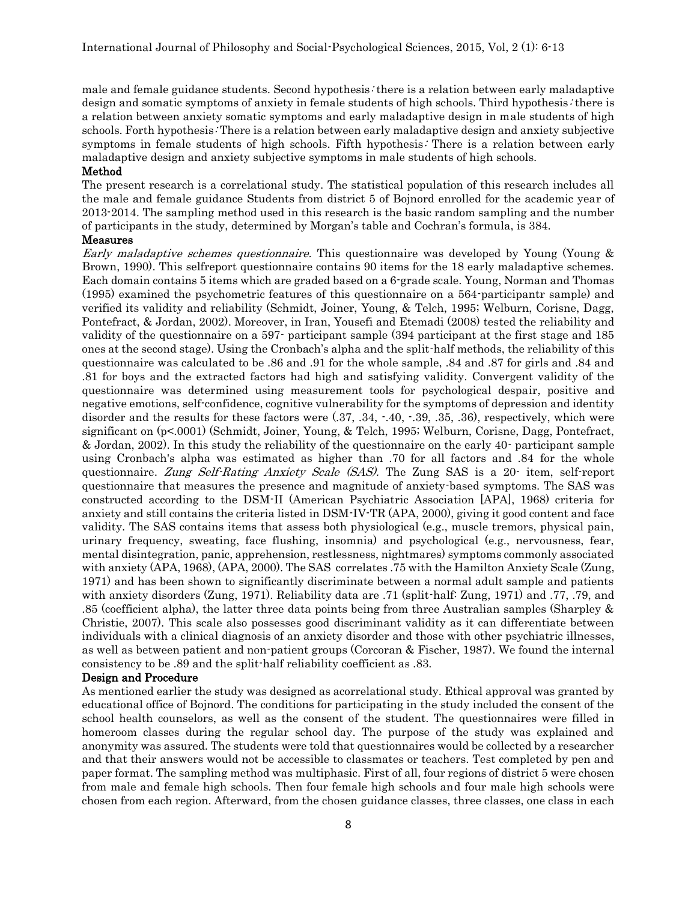male and female guidance students. Second hypothesis: there is a relation between early maladaptive design and somatic symptoms of anxiety in female students of high schools. Third hypothesis: there is a relation between anxiety somatic symptoms and early maladaptive design in male students of high schools. Forth hypothesis: There is a relation between early maladaptive design and anxiety subjective symptoms in female students of high schools. Fifth hypothesis: There is a relation between early maladaptive design and anxiety subjective symptoms in male students of high schools.

#### Method

The present research is a correlational study. The statistical population of this research includes all the male and female guidance Students from district 5 of Bojnord enrolled for the academic year of 2013-2014. The sampling method used in this research is the basic random sampling and the number of participants in the study, determined by Morgan's table and Cochran's formula, is 384.

#### Measures

Early maladaptive schemes questionnaire. This questionnaire was developed by Young (Young & Brown, 1990). This selfreport questionnaire contains 90 items for the 18 early maladaptive schemes. Each domain contains 5 items which are graded based on a 6-grade scale. Young, Norman and Thomas (1995) examined the psychometric features of this questionnaire on a 564-participantr sample) and verified its validity and reliability (Schmidt, Joiner, Young, & Telch, 1995; Welburn, Corisne, Dagg, Pontefract, & Jordan, 2002). Moreover, in Iran, Yousefi and Etemadi (2008) tested the reliability and validity of the questionnaire on a 597- participant sample (394 participant at the first stage and 185 ones at the second stage). Using the Cronbach's alpha and the split-half methods, the reliability of this questionnaire was calculated to be .86 and .91 for the whole sample, .84 and .87 for girls and .84 and .81 for boys and the extracted factors had high and satisfying validity. Convergent validity of the questionnaire was determined using measurement tools for psychological despair, positive and negative emotions, self-confidence, cognitive vulnerability for the symptoms of depression and identity disorder and the results for these factors were (.37, .34, .40, .39, .35, .36), respectively, which were significant on (p<.0001) (Schmidt, Joiner, Young, & Telch, 1995; Welburn, Corisne, Dagg, Pontefract, & Jordan, 2002). In this study the reliability of the questionnaire on the early 40- participant sample using Cronbach's alpha was estimated as higher than .70 for all factors and .84 for the whole questionnaire. Zung Self-Rating Anxiety Scale (SAS). The Zung SAS is a 20- item, self-report questionnaire that measures the presence and magnitude of anxiety-based symptoms. The SAS was constructed according to the DSM-II (American Psychiatric Association [APA], 1968) criteria for anxiety and still contains the criteria listed in DSM-IV-TR (APA, 2000), giving it good content and face validity. The SAS contains items that assess both physiological (e.g., muscle tremors, physical pain, urinary frequency, sweating, face flushing, insomnia) and psychological (e.g., nervousness, fear, mental disintegration, panic, apprehension, restlessness, nightmares) symptoms commonly associated with anxiety (APA, 1968), (APA, 2000). The SAS correlates .75 with the Hamilton Anxiety Scale (Zung, 1971) and has been shown to significantly discriminate between a normal adult sample and patients with anxiety disorders (Zung, 1971). Reliability data are .71 (split-half: Zung, 1971) and .77, .79, and .85 (coefficient alpha), the latter three data points being from three Australian samples (Sharpley & Christie, 2007). This scale also possesses good discriminant validity as it can differentiate between individuals with a clinical diagnosis of an anxiety disorder and those with other psychiatric illnesses, as well as between patient and non-patient groups (Corcoran & Fischer, 1987). We found the internal consistency to be .89 and the split-half reliability coefficient as .83.

#### Design and Procedure

As mentioned earlier the study was designed as acorrelational study. Ethical approval was granted by educational office of Bojnord. The conditions for participating in the study included the consent of the school health counselors, as well as the consent of the student. The questionnaires were filled in homeroom classes during the regular school day. The purpose of the study was explained and anonymity was assured. The students were told that questionnaires would be collected by a researcher and that their answers would not be accessible to classmates or teachers. Test completed by pen and paper format. The sampling method was multiphasic. First of all, four regions of district 5 were chosen from male and female high schools. Then four female high schools and four male high schools were chosen from each region. Afterward, from the chosen guidance classes, three classes, one class in each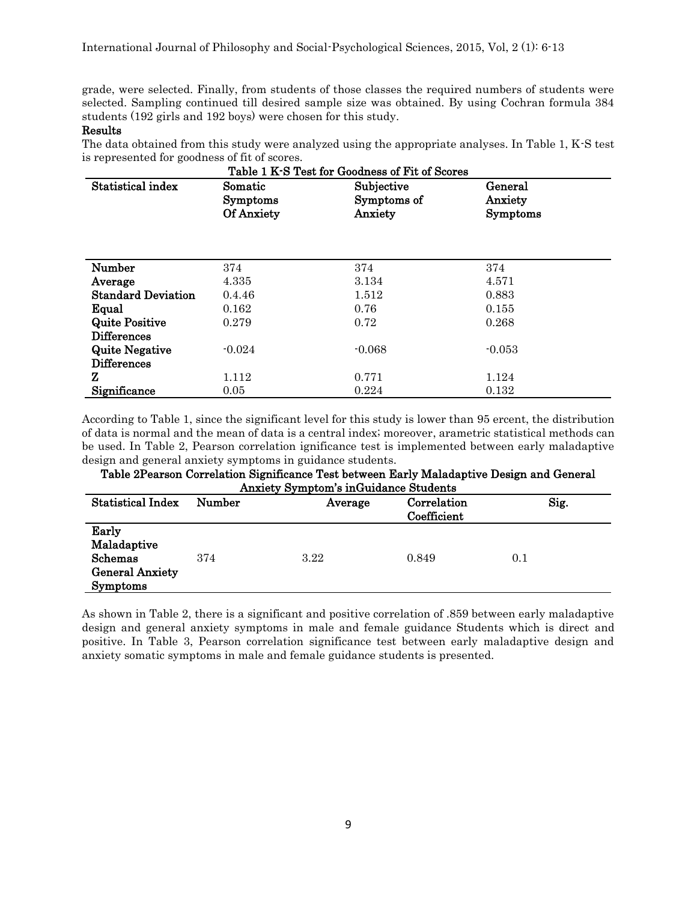grade, were selected. Finally, from students of those classes the required numbers of students were selected. Sampling continued till desired sample size was obtained. By using Cochran formula 384 students (192 girls and 192 boys) were chosen for this study.

### Results

The data obtained from this study were analyzed using the appropriate analyses. In Table 1, K-S test is represented for goodness of fit of scores.

| Table 1 K-S Test for Goodness of Fit of Scores |                                          |                                      |                                |  |  |
|------------------------------------------------|------------------------------------------|--------------------------------------|--------------------------------|--|--|
| Statistical index                              | Somatic<br><b>Symptoms</b><br>Of Anxiety | Subjective<br>Symptoms of<br>Anxiety | General<br>Anxiety<br>Symptoms |  |  |
| Number                                         | 374                                      | 374                                  | 374                            |  |  |
| Average                                        | 4.335                                    | 3.134                                | 4.571                          |  |  |
| <b>Standard Deviation</b>                      | 0.4.46                                   | 1.512                                | 0.883                          |  |  |
| Equal                                          | 0.162                                    | 0.76                                 | 0.155                          |  |  |
| <b>Quite Positive</b>                          | 0.279                                    | 0.72                                 | 0.268                          |  |  |
| <b>Differences</b>                             |                                          |                                      |                                |  |  |
| <b>Quite Negative</b>                          | $-0.024$                                 | $-0.068$                             | $-0.053$                       |  |  |
| <b>Differences</b>                             |                                          |                                      |                                |  |  |
| z                                              | 1.112                                    | 0.771                                | 1.124                          |  |  |
| Significance                                   | 0.05                                     | 0.224                                | 0.132                          |  |  |

According to Table 1, since the significant level for this study is lower than 95 ercent, the distribution of data is normal and the mean of data is a central index; moreover, arametric statistical methods can be used. In Table 2, Pearson correlation ignificance test is implemented between early maladaptive design and general anxiety symptoms in guidance students.

| Table 2Pearson Correlation Significance Test between Early Maladaptive Design and General |                                  |      |             |     |  |
|-------------------------------------------------------------------------------------------|----------------------------------|------|-------------|-----|--|
| <b>Anxiety Symptom's inGuidance Students</b>                                              |                                  |      |             |     |  |
| <b>Statistical Index</b>                                                                  | Correlation<br>Number<br>Average |      |             |     |  |
|                                                                                           |                                  |      | Coefficient |     |  |
| Early                                                                                     |                                  |      |             |     |  |
| Maladaptive                                                                               |                                  |      |             |     |  |
| Schemas                                                                                   | 374                              | 3.22 | 0.849       | 0.1 |  |
| <b>General Anxiety</b>                                                                    |                                  |      |             |     |  |
| <b>Symptoms</b>                                                                           |                                  |      |             |     |  |

Table 2Pearson Correlation Significance Test between Early Maladaptive Design and General

As shown in Table 2, there is a significant and positive correlation of .859 between early maladaptive design and general anxiety symptoms in male and female guidance Students which is direct and positive. In Table 3, Pearson correlation significance test between early maladaptive design and anxiety somatic symptoms in male and female guidance students is presented.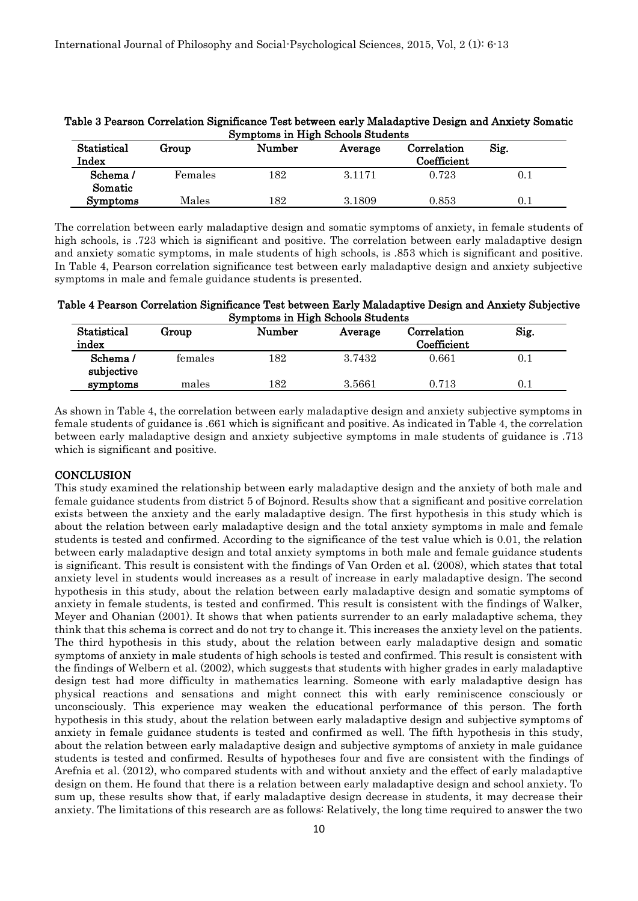| Statistical<br>Index | Group   | Number | Average | Correlation<br>Coefficient | Sig. |
|----------------------|---------|--------|---------|----------------------------|------|
| Schema/<br>Somatic   | Females | 182    | 3.1171  | 0.723                      | 0.1  |
| <b>Symptoms</b>      | Males   | 182    | 3.1809  | 0.853                      | 0.1  |

Table 3 Pearson Correlation Significance Test between early Maladaptive Design and Anxiety Somatic Symptoms in High Schools Students

The correlation between early maladaptive design and somatic symptoms of anxiety, in female students of high schools, is .723 which is significant and positive. The correlation between early maladaptive design and anxiety somatic symptoms, in male students of high schools, is .853 which is significant and positive. In Table 4, Pearson correlation significance test between early maladaptive design and anxiety subjective symptoms in male and female guidance students is presented.

Table 4 Pearson Correlation Significance Test between Early Maladaptive Design and Anxiety Subjective Symptoms in High Schools Students

| Statistical<br>index  | Group   | Number | Average | $\rm Correlation$<br>Coefficient | Sig. |
|-----------------------|---------|--------|---------|----------------------------------|------|
| Schema/<br>subjective | females | 182    | 3.7432  | 0.661                            | 0.1  |
| symptoms              | males   | 182    | 3.5661  | 0.713                            | 0.1  |

As shown in Table 4, the correlation between early maladaptive design and anxiety subjective symptoms in female students of guidance is .661 which is significant and positive. As indicated in Table 4, the correlation between early maladaptive design and anxiety subjective symptoms in male students of guidance is .713 which is significant and positive.

## **CONCLUSION**

This study examined the relationship between early maladaptive design and the anxiety of both male and female guidance students from district 5 of Bojnord. Results show that a significant and positive correlation exists between the anxiety and the early maladaptive design. The first hypothesis in this study which is about the relation between early maladaptive design and the total anxiety symptoms in male and female students is tested and confirmed. According to the significance of the test value which is 0.01, the relation between early maladaptive design and total anxiety symptoms in both male and female guidance students is significant. This result is consistent with the findings of Van Orden et al. (2008), which states that total anxiety level in students would increases as a result of increase in early maladaptive design. The second hypothesis in this study, about the relation between early maladaptive design and somatic symptoms of anxiety in female students, is tested and confirmed. This result is consistent with the findings of Walker, Meyer and Ohanian (2001). It shows that when patients surrender to an early maladaptive schema, they think that this schema is correct and do not try to change it. This increases the anxiety level on the patients. The third hypothesis in this study, about the relation between early maladaptive design and somatic symptoms of anxiety in male students of high schools is tested and confirmed. This result is consistent with the findings of Welbern et al. (2002), which suggests that students with higher grades in early maladaptive design test had more difficulty in mathematics learning. Someone with early maladaptive design has physical reactions and sensations and might connect this with early reminiscence consciously or unconsciously. This experience may weaken the educational performance of this person. The forth hypothesis in this study, about the relation between early maladaptive design and subjective symptoms of anxiety in female guidance students is tested and confirmed as well. The fifth hypothesis in this study, about the relation between early maladaptive design and subjective symptoms of anxiety in male guidance students is tested and confirmed. Results of hypotheses four and five are consistent with the findings of Arefnia et al. (2012), who compared students with and without anxiety and the effect of early maladaptive design on them. He found that there is a relation between early maladaptive design and school anxiety. To sum up, these results show that, if early maladaptive design decrease in students, it may decrease their anxiety. The limitations of this research are as follows: Relatively, the long time required to answer the two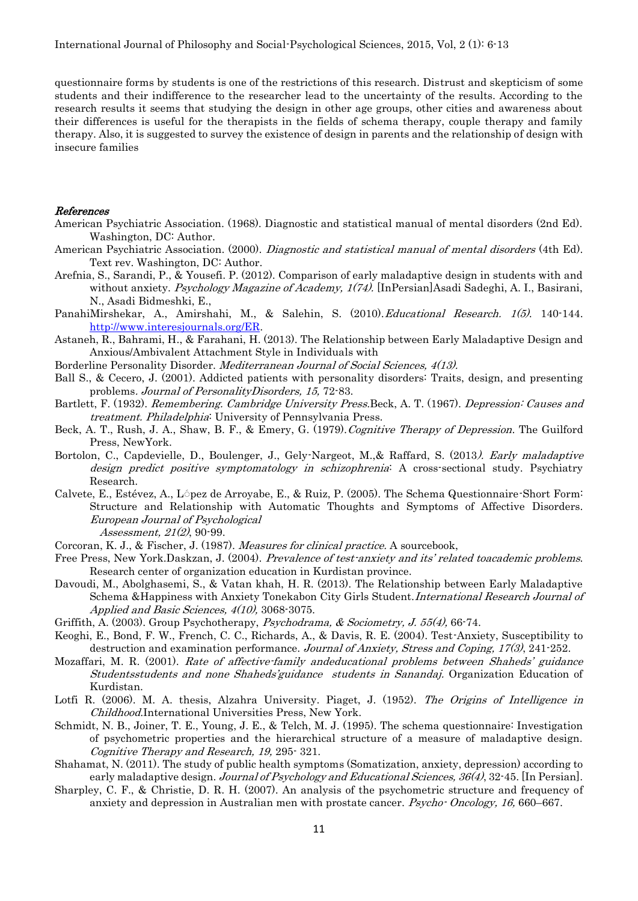questionnaire forms by students is one of the restrictions of this research. Distrust and skepticism of some students and their indifference to the researcher lead to the uncertainty of the results. According to the research results it seems that studying the design in other age groups, other cities and awareness about their differences is useful for the therapists in the fields of schema therapy, couple therapy and family therapy. Also, it is suggested to survey the existence of design in parents and the relationship of design with insecure families

#### References

- American Psychiatric Association. (1968). Diagnostic and statistical manual of mental disorders (2nd Ed). Washington, DC: Author.
- American Psychiatric Association. (2000). Diagnostic and statistical manual of mental disorders (4th Ed). Text rev. Washington, DC: Author.
- Arefnia, S., Sarandi, P., & Yousefi. P. (2012). Comparison of early maladaptive design in students with and without anxiety. Psychology Magazine of Academy, 1(74). [InPersian]Asadi Sadeghi, A. I., Basirani, N., Asadi Bidmeshki, E.,
- PanahiMirshekar, A., Amirshahi, M., & Salehin, S. (2010). *Educational Research. 1(5)*. 140-144. [http://www.interesjournals.org/ER.](http://www.interesjournals.org/ER)
- Astaneh, R., Bahrami, H., & Farahani, H. (2013). The Relationship between Early Maladaptive Design and Anxious/Ambivalent Attachment Style in Individuals with
- Borderline Personality Disorder. *Mediterranean Journal of Social Sciences*, 4(13).
- Ball S., & Cecero, J. (2001). Addicted patients with personality disorders: Traits, design, and presenting problems. Journal of PersonalityDisorders, 15, 72-83.
- Bartlett, F. (1932). Remembering. Cambridge University Press. Beck, A. T. (1967). Depression: Causes and treatment. Philadelphia: University of Pennsylvania Press.
- Beck, A. T., Rush, J. A., Shaw, B. F., & Emery, G. (1979). Cognitive Therapy of Depression. The Guilford Press, NewYork.
- Bortolon, C., Capdevielle, D., Boulenger, J., Gely-Nargeot, M.,& Raffard, S. (2013). Early maladaptive design predict positive symptomatology in schizophrenia: A cross-sectional study. Psychiatry Research.
- Calvete, E., Estévez, A., L<sup>ó</sup>pez de Arroyabe, E., & Ruiz, P. (2005). The Schema Questionnaire-Short Form: Structure and Relationship with Automatic Thoughts and Symptoms of Affective Disorders. European Journal of Psychological Assessment, 21(2), 90-99.

Corcoran, K. J., & Fischer, J. (1987). Measures for clinical practice. A sourcebook,

- Free Press, New York.Daskzan, J. (2004). Prevalence of test-anxiety and its' related toacademic problems. Research center of organization education in Kurdistan province.
- Davoudi, M., Abolghasemi, S., & Vatan khah, H. R. (2013). The Relationship between Early Maladaptive Schema & Happiness with Anxiety Tonekabon City Girls Student. International Research Journal of Applied and Basic Sciences, 4(10), 3068-3075.
- Griffith, A. (2003). Group Psychotherapy, Psychodrama, & Sociometry, J. 55(4), 66-74.
- Keoghi, E., Bond, F. W., French, C. C., Richards, A., & Davis, R. E. (2004). Test-Anxiety, Susceptibility to destruction and examination performance. Journal of Anxiety, Stress and Coping, 17(3), 241-252.
- Mozaffari, M. R. (2001). Rate of affective-family andeducational problems between Shaheds' guidance Studentsstudents and none Shaheds'guidance students in Sanandaj. Organization Education of Kurdistan.
- Lotfi R. (2006). M. A. thesis, Alzahra University. Piaget, J. (1952). The Origins of Intelligence in Childhood.International Universities Press, New York.
- Schmidt, N. B., Joiner, T. E., Young, J. E., & Telch, M. J. (1995). The schema questionnaire: Investigation of psychometric properties and the hierarchical structure of a measure of maladaptive design. Cognitive Therapy and Research, 19, 295- 321.
- Shahamat, N. (2011). The study of public health symptoms (Somatization, anxiety, depression) according to early maladaptive design. Journal of Psychology and Educational Sciences, 36(4), 32-45. [In Persian].
- Sharpley, C. F., & Christie, D. R. H. (2007). An analysis of the psychometric structure and frequency of anxiety and depression in Australian men with prostate cancer. Psycho- Oncology, 16, 660–667.